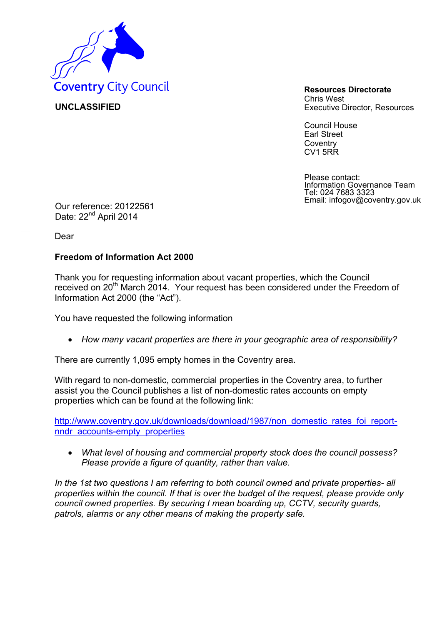

**UNCLASSIFIED** 

Chris West Executive Director, Resources

Council House Earl Street **Coventry** CV1 5RR

Please contact: Information Governance Team Tel: 024 7683 3323 Email: infogov@coventry.gov.uk Our reference: 20122561

Date: 22<sup>nd</sup> April 2014

Dear

## **Freedom of Information Act 2000**

Thank you for requesting information about vacant properties, which the Council received on 20<sup>th</sup> March 2014. Your request has been considered under the Freedom of Information Act 2000 (the "Act").

You have requested the following information

*How many vacant properties are there in your geographic area of responsibility?* 

There are currently 1,095 empty homes in the Coventry area.

With regard to non-domestic, commercial properties in the Coventry area, to further assist you the Council publishes a list of non-domestic rates accounts on empty properties which can be found at the following link:

http://www.coventry.gov.uk/downloads/download/1987/non domestic rates foi reportnndr accounts-empty properties

 *What level of housing and commercial property stock does the council possess? Please provide a figure of quantity, rather than value.* 

*In the 1st two questions I am referring to both council owned and private properties- all properties within the council. If that is over the budget of the request, please provide only council owned properties. By securing I mean boarding up, CCTV, security guards, patrols, alarms or any other means of making the property safe.*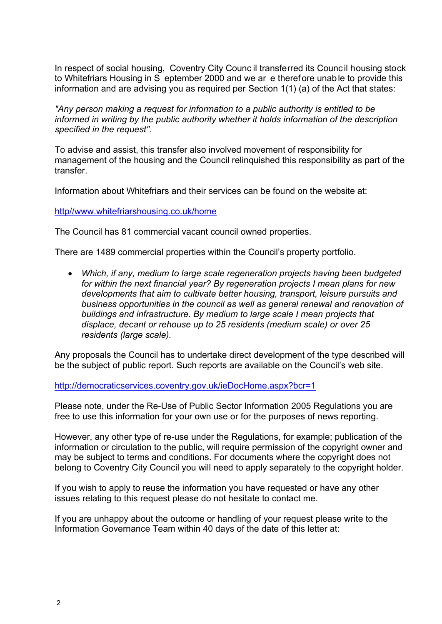In respect of social housing, Coventry City Counc il transferred its Council housing stock to Whitefriars Housing in S eptember 2000 and we ar e therefore unable to provide this information and are advising you as required per Section 1(1) (a) of the Act that states:

*"Any person making a request for information to a public authority is entitled to be informed in writing by the public authority whether it holds information of the description specified in the request".* 

To advise and assist, this transfer also involved movement of responsibility for management of the housing and the Council relinquished this responsibility as part of the transfer.

Information about Whitefriars and their services can be found on the website at:

http//www.whitefriarshousing.co.uk/home

The Council has 81 commercial vacant council owned properties.

There are 1489 commercial properties within the Council's property portfolio.

 *Which, if any, medium to large scale regeneration projects having been budgeted for within the next financial year? By regeneration projects I mean plans for new developments that aim to cultivate better housing, transport, leisure pursuits and business opportunities in the council as well as general renewal and renovation of buildings and infrastructure. By medium to large scale I mean projects that displace, decant or rehouse up to 25 residents (medium scale) or over 25 residents (large scale).* 

Any proposals the Council has to undertake direct development of the type described will be the subject of public report. Such reports are available on the Council's web site.

http://democraticservices.coventry.gov.uk/ieDocHome.aspx?bcr=1

Please note, under the Re-Use of Public Sector Information 2005 Regulations you are free to use this information for your own use or for the purposes of news reporting.

However, any other type of re-use under the Regulations, for example; publication of the information or circulation to the public, will require permission of the copyright owner and may be subject to terms and conditions. For documents where the copyright does not belong to Coventry City Council you will need to apply separately to the copyright holder.

If you wish to apply to reuse the information you have requested or have any other issues relating to this request please do not hesitate to contact me.

If you are unhappy about the outcome or handling of your request please write to the Information Governance Team within 40 days of the date of this letter at: